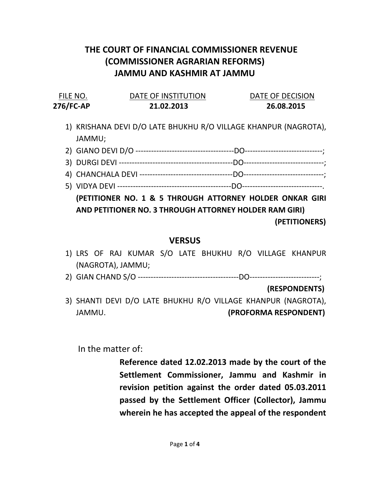## THE COURT OF FINANCIAL COMMISSIONER REVENUE (COMMISSIONER AGRARIAN REFORMS) JAMMU AND KASHMIR AT JAMMU

| FILE NO.  | DATE OF INSTITUTION | DATE OF DECISION |
|-----------|---------------------|------------------|
| 276/FC-AP | 21.02.2013          | 26.08.2015       |

- 1) KRISHANA DEVI D/O LATE BHUKHU R/O VILLAGE KHANPUR (NAGROTA), JAMMU;
- 2) GIANO DEVI D/O --------------------------------------DO------------------------------;
- 3) DURGI DEVI --------------------------------------------DO-------------------------------;
- 4) CHANCHALA DEVI ------------------------------------DO-------------------------------;
- 5) VIDYA DEVI --------------------------------------------DO-------------------------------.

(PETITIONER NO. 1 & 5 THROUGH ATTORNEY HOLDER ONKAR GIRI AND PETITIONER NO. 3 THROUGH ATTORNEY HOLDER RAM GIRI) (PETITIONERS)

#### **VERSUS**

- 1) LRS OF RAJ KUMAR S/O LATE BHUKHU R/O VILLAGE KHANPUR (NAGROTA), JAMMU;
- 2) GIAN CHAND S/O ---------------------------------------DO---------------------------;

#### (RESPONDENTS)

3) SHANTI DEVI D/O LATE BHUKHU R/O VILLAGE KHANPUR (NAGROTA), JAMMU. (PROFORMA RESPONDENT)

In the matter of:

Reference dated 12.02.2013 made by the court of the Settlement Commissioner, Jammu and Kashmir in revision petition against the order dated 05.03.2011 passed by the Settlement Officer (Collector), Jammu wherein he has accepted the appeal of the respondent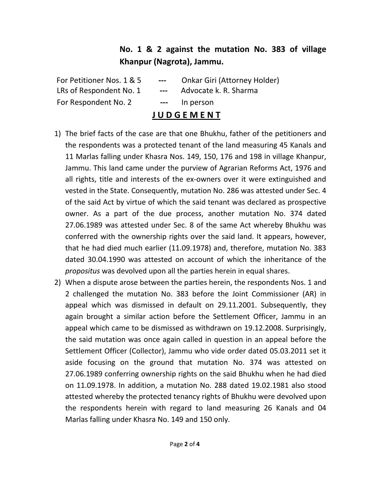# No. 1 & 2 against the mutation No. 383 of village Khanpur (Nagrota), Jammu.

For Petitioner Nos. 1 & 5 --- Onkar Giri (Attorney Holder) LRs of Respondent No. 1 --- Advocate k. R. Sharma For Respondent No. 2 --- In person

### J U D G E M E N T

- 1) The brief facts of the case are that one Bhukhu, father of the petitioners and the respondents was a protected tenant of the land measuring 45 Kanals and 11 Marlas falling under Khasra Nos. 149, 150, 176 and 198 in village Khanpur, Jammu. This land came under the purview of Agrarian Reforms Act, 1976 and all rights, title and interests of the ex-owners over it were extinguished and vested in the State. Consequently, mutation No. 286 was attested under Sec. 4 of the said Act by virtue of which the said tenant was declared as prospective owner. As a part of the due process, another mutation No. 374 dated 27.06.1989 was attested under Sec. 8 of the same Act whereby Bhukhu was conferred with the ownership rights over the said land. It appears, however, that he had died much earlier (11.09.1978) and, therefore, mutation No. 383 dated 30.04.1990 was attested on account of which the inheritance of the propositus was devolved upon all the parties herein in equal shares.
- 2) When a dispute arose between the parties herein, the respondents Nos. 1 and 2 challenged the mutation No. 383 before the Joint Commissioner (AR) in appeal which was dismissed in default on 29.11.2001. Subsequently, they again brought a similar action before the Settlement Officer, Jammu in an appeal which came to be dismissed as withdrawn on 19.12.2008. Surprisingly, the said mutation was once again called in question in an appeal before the Settlement Officer (Collector), Jammu who vide order dated 05.03.2011 set it aside focusing on the ground that mutation No. 374 was attested on 27.06.1989 conferring ownership rights on the said Bhukhu when he had died on 11.09.1978. In addition, a mutation No. 288 dated 19.02.1981 also stood attested whereby the protected tenancy rights of Bhukhu were devolved upon the respondents herein with regard to land measuring 26 Kanals and 04 Marlas falling under Khasra No. 149 and 150 only.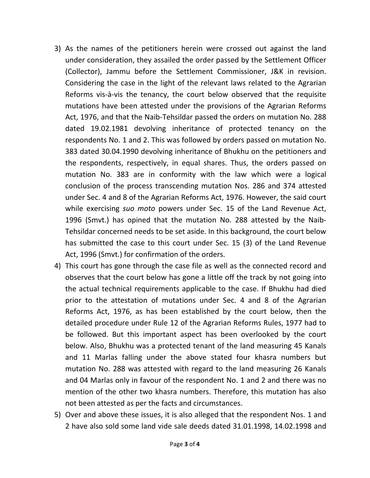- 3) As the names of the petitioners herein were crossed out against the land under consideration, they assailed the order passed by the Settlement Officer (Collector), Jammu before the Settlement Commissioner, J&K in revision. Considering the case in the light of the relevant laws related to the Agrarian Reforms vis-à-vis the tenancy, the court below observed that the requisite mutations have been attested under the provisions of the Agrarian Reforms Act, 1976, and that the Naib-Tehsildar passed the orders on mutation No. 288 dated 19.02.1981 devolving inheritance of protected tenancy on the respondents No. 1 and 2. This was followed by orders passed on mutation No. 383 dated 30.04.1990 devolving inheritance of Bhukhu on the petitioners and the respondents, respectively, in equal shares. Thus, the orders passed on mutation No. 383 are in conformity with the law which were a logical conclusion of the process transcending mutation Nos. 286 and 374 attested under Sec. 4 and 8 of the Agrarian Reforms Act, 1976. However, the said court while exercising suo moto powers under Sec. 15 of the Land Revenue Act, 1996 (Smvt.) has opined that the mutation No. 288 attested by the Naib-Tehsildar concerned needs to be set aside. In this background, the court below has submitted the case to this court under Sec. 15 (3) of the Land Revenue Act, 1996 (Smvt.) for confirmation of the orders.
- 4) This court has gone through the case file as well as the connected record and observes that the court below has gone a little off the track by not going into the actual technical requirements applicable to the case. If Bhukhu had died prior to the attestation of mutations under Sec. 4 and 8 of the Agrarian Reforms Act, 1976, as has been established by the court below, then the detailed procedure under Rule 12 of the Agrarian Reforms Rules, 1977 had to be followed. But this important aspect has been overlooked by the court below. Also, Bhukhu was a protected tenant of the land measuring 45 Kanals and 11 Marlas falling under the above stated four khasra numbers but mutation No. 288 was attested with regard to the land measuring 26 Kanals and 04 Marlas only in favour of the respondent No. 1 and 2 and there was no mention of the other two khasra numbers. Therefore, this mutation has also not been attested as per the facts and circumstances.
- 5) Over and above these issues, it is also alleged that the respondent Nos. 1 and 2 have also sold some land vide sale deeds dated 31.01.1998, 14.02.1998 and